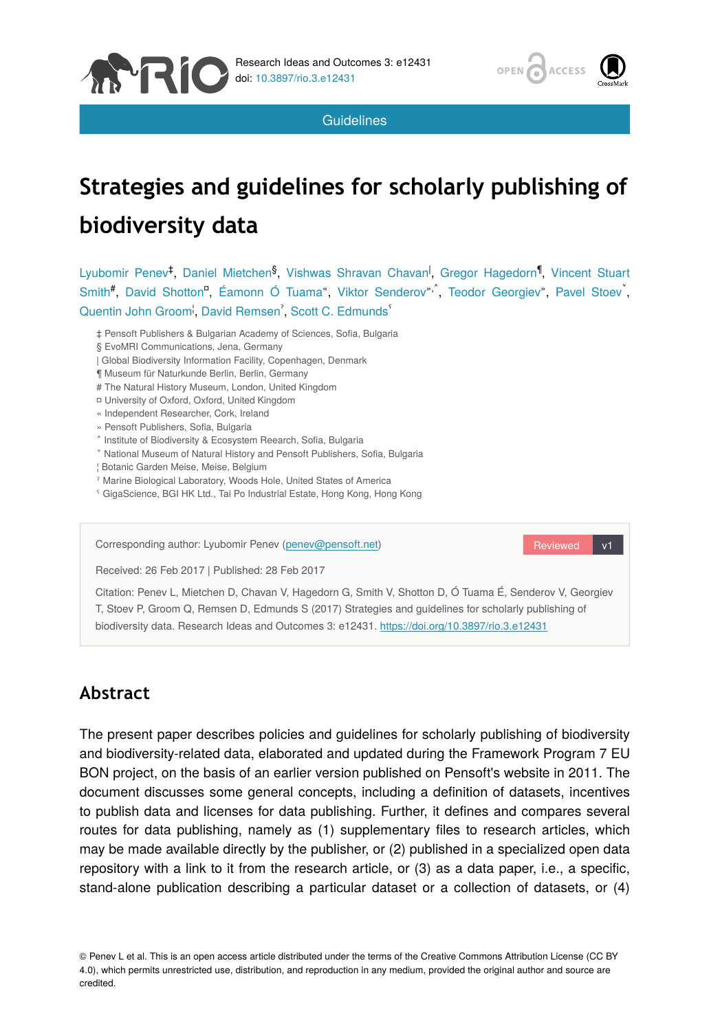

**Guidelines** 

# **Strategies and guidelines for scholarly publishing of biodiversity data**

Lyubomir Penev<sup>‡</sup>, Daniel Mietchen<sup>§</sup>, Vishwas Shravan Chavan<sup>I</sup>, Gregor Hagedorn<sup>¶</sup>, Vincent Stuart Smith<sup>#</sup>, David Shotton<sup>o</sup>, Éamonn Ó Tuama", Viktor Senderov"<sup>,</sup>, Teodor Georgiev", Pavel Stoev<sup>"</sup>, Quentin John Groom<sup>1</sup>, David Remsen<sup>7</sup>, Scott C. Edmunds<sup>5</sup>

‡ Pensoft Publishers & Bulgarian Academy of Sciences, Sofia, Bulgaria

- § EvoMRI Communications, Jena, Germany
- | Global Biodiversity Information Facility, Copenhagen, Denmark
- ¶ Museum für Naturkunde Berlin, Berlin, Germany
- # The Natural History Museum, London, United Kingdom
- ¤ University of Oxford, Oxford, United Kingdom
- « Independent Researcher, Cork, Ireland
- » Pensoft Publishers, Sofia, Bulgaria

**REA** 

- ˄ Institute of Biodiversity & Ecosystem Reearch, Sofia, Bulgaria
- ˅ National Museum of Natural History and Pensoft Publishers, Sofia, Bulgaria
- ¦ Botanic Garden Meise, Meise, Belgium
- ˀ Marine Biological Laboratory, Woods Hole, United States of America
- ˁ GigaScience, BGI HK Ltd., Tai Po Industrial Estate, Hong Kong, Hong Kong

Corresponding author: Lyubomir Penev [\(penev@pensoft.net](mailto:penev@pensoft.net))

Reviewed v1

Received: 26 Feb 2017 | Published: 28 Feb 2017

Citation: Penev L, Mietchen D, Chavan V, Hagedorn G, Smith V, Shotton D, Ó Tuama É, Senderov V, Georgiev T, Stoev P, Groom Q, Remsen D, Edmunds S (2017) Strategies and guidelines for scholarly publishing of biodiversity data. Research Ideas and Outcomes 3: e12431. <https://doi.org/10.3897/rio.3.e12431>

## **Abstract**

The present paper describes policies and guidelines for scholarly publishing of biodiversity and biodiversity-related data, elaborated and updated during the Framework Program 7 EU BON project, on the basis of an earlier version published on Pensoft's website in 2011. The document discusses some general concepts, including a definition of datasets, incentives to publish data and licenses for data publishing. Further, it defines and compares several routes for data publishing, namely as (1) supplementary files to research articles, which may be made available directly by the publisher, or (2) published in a specialized open data repository with a link to it from the research article, or (3) as a data paper, i.e., a specific, stand-alone publication describing a particular dataset or a collection of datasets, or (4)

© Penev L et al. This is an open access article distributed under the terms of the Creative Commons Attribution License (CC BY 4.0), which permits unrestricted use, distribution, and reproduction in any medium, provided the original author and source are credited.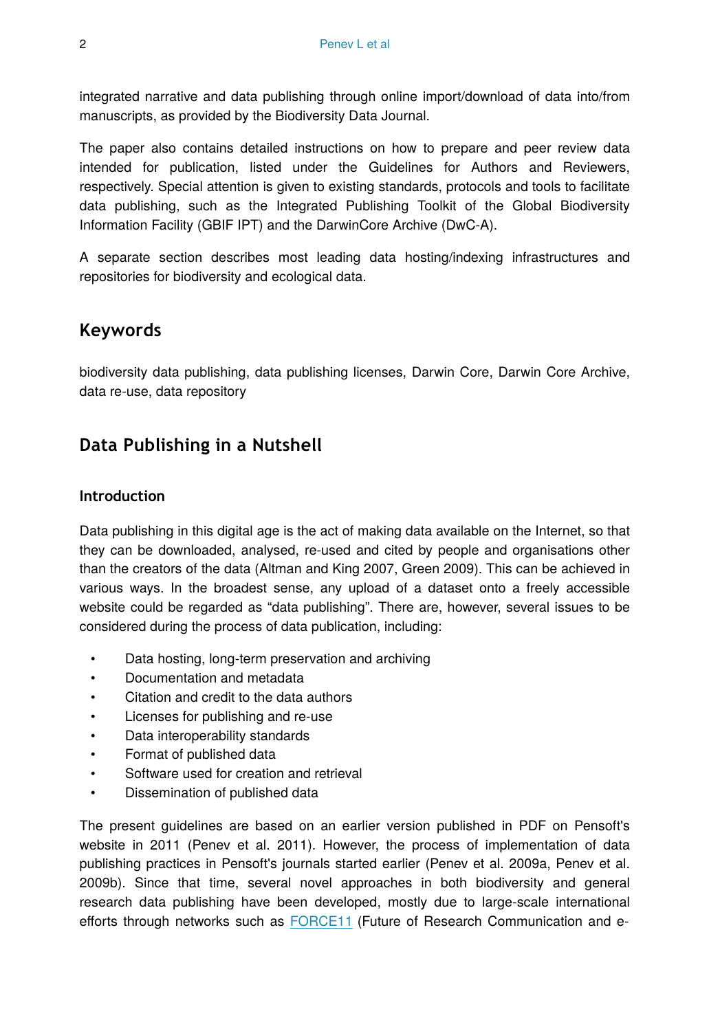integrated narrative and data publishing through online import/download of data into/from manuscripts, as provided by the Biodiversity Data Journal.

The paper also contains detailed instructions on how to prepare and peer review data intended for publication, listed under the Guidelines for Authors and Reviewers, respectively. Special attention is given to existing standards, protocols and tools to facilitate data publishing, such as the Integrated Publishing Toolkit of the Global Biodiversity Information Facility (GBIF IPT) and the DarwinCore Archive (DwC-A).

A separate section describes most leading data hosting/indexing infrastructures and repositories for biodiversity and ecological data.

### **Keywords**

biodiversity data publishing, data publishing licenses, Darwin Core, Darwin Core Archive, data re-use, data repository

## **Data Publishing in a Nutshell**

#### **Introduction**

Data publishing in this digital age is the act of making data available on the Internet, so that they can be downloaded, analysed, re-used and cited by people and organisations other than the creators of the data (Altman and King 2007, Green 2009). This can be achieved in various ways. In the broadest sense, any upload of a dataset onto a freely accessible website could be regarded as "data publishing". There are, however, several issues to be considered during the process of data publication, including:

- Data hosting, long-term preservation and archiving
- Documentation and metadata
- Citation and credit to the data authors
- Licenses for publishing and re-use
- Data interoperability standards
- Format of published data
- Software used for creation and retrieval
- Dissemination of published data

The present guidelines are based on an earlier version published in PDF on Pensoft's website in 2011 (Penev et al. 2011). However, the process of implementation of data publishing practices in Pensoft's journals started earlier (Penev et al. 2009a, Penev et al. 2009b). Since that time, several novel approaches in both biodiversity and general research data publishing have been developed, mostly due to large-scale international efforts through networks such as [FORCE11](http://force11.org) (Future of Research Communication and e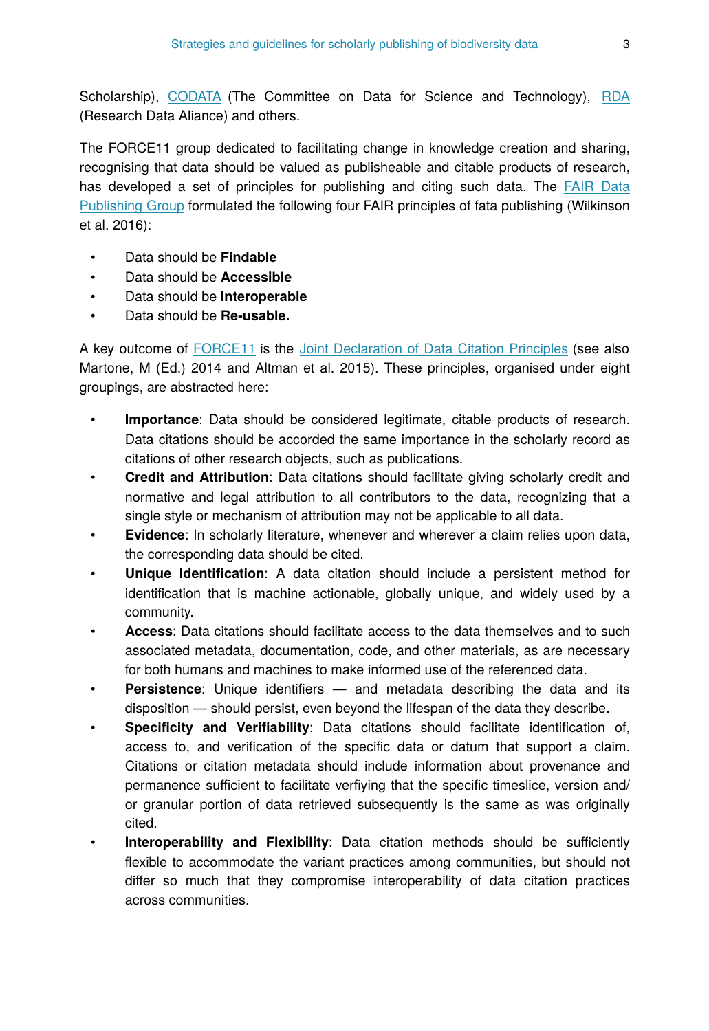Scholarship), [CODATA](http://codata.org) (The Committee on Data for Science and Technology), [RDA](https://rd-alliance.org/) (Research Data Aliance) and others.

The FORCE11 group dedicated to facilitating change in knowledge creation and sharing, recognising that data should be valued as publisheable and citable products of research, has developed a set of principles for publishing and citing such data. The [FAIR Data](https://www.force11.org/group/fairgroup) [Publishing Group](https://www.force11.org/group/fairgroup) formulated the following four FAIR principles of fata publishing (Wilkinson et al. 2016):

- Data should be **Findable**
- Data should be **Accessible**
- Data should be **Interoperable**
- Data should be **Re-usable.**

A key outcome of [FORCE11](http://force11.org) is the [Joint Declaration of Data Citation Principles](http://www.force11.org/datacitation) (see also Martone, M (Ed.) 2014 and Altman et al. 2015). These principles, organised under eight groupings, are abstracted here:

- **Importance**: Data should be considered legitimate, citable products of research. Data citations should be accorded the same importance in the scholarly record as citations of other research objects, such as publications.
- **Credit and Attribution**: Data citations should facilitate giving scholarly credit and normative and legal attribution to all contributors to the data, recognizing that a single style or mechanism of attribution may not be applicable to all data.
- **Evidence**: In scholarly literature, whenever and wherever a claim relies upon data, the corresponding data should be cited.
- **Unique Identification**: A data citation should include a persistent method for identification that is machine actionable, globally unique, and widely used by a community.
- **Access**: Data citations should facilitate access to the data themselves and to such associated metadata, documentation, code, and other materials, as are necessary for both humans and machines to make informed use of the referenced data.
- **Persistence**: Unique identifiers and metadata describing the data and its disposition — should persist, even beyond the lifespan of the data they describe.
- **Specificity and Verifiability**: Data citations should facilitate identification of, access to, and verification of the specific data or datum that support a claim. Citations or citation metadata should include information about provenance and permanence sufficient to facilitate verfiying that the specific timeslice, version and/ or granular portion of data retrieved subsequently is the same as was originally cited.
- **Interoperability and Flexibility**: Data citation methods should be sufficiently flexible to accommodate the variant practices among communities, but should not differ so much that they compromise interoperability of data citation practices across communities.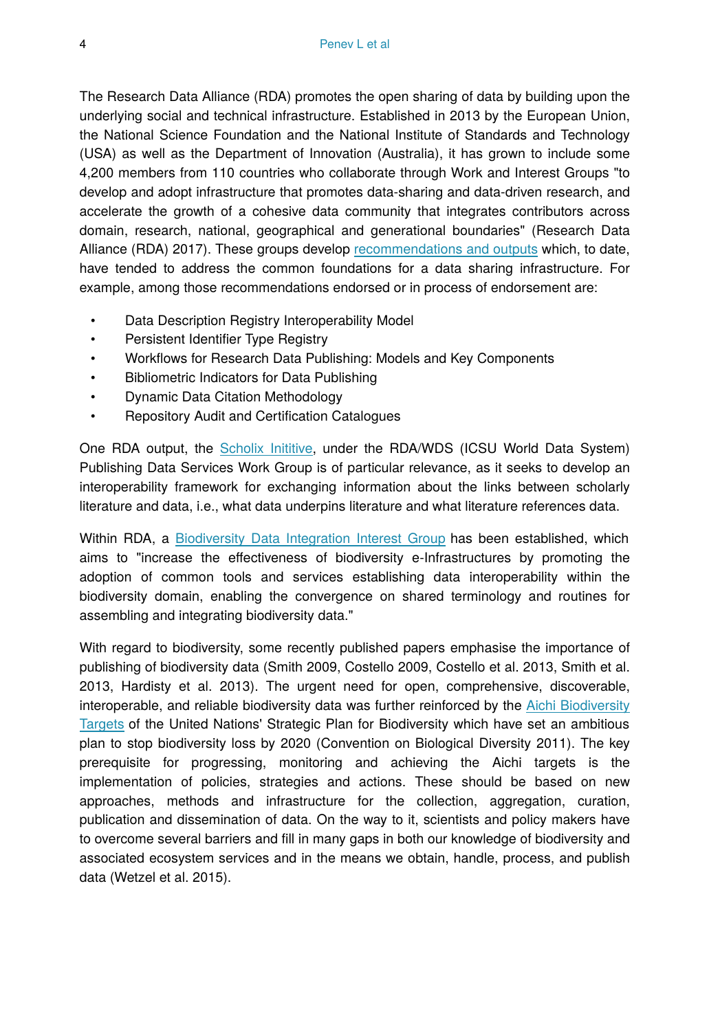The Research Data Alliance (RDA) promotes the open sharing of data by building upon the underlying social and technical infrastructure. Established in 2013 by the European Union, the National Science Foundation and the National Institute of Standards and Technology (USA) as well as the Department of Innovation (Australia), it has grown to include some 4,200 members from 110 countries who collaborate through Work and Interest Groups "to develop and adopt infrastructure that promotes data-sharing and data-driven research, and accelerate the growth of a cohesive data community that integrates contributors across domain, research, national, geographical and generational boundaries" (Research Data Alliance (RDA) 2017). These groups develop [recommendations and outputs](https://rd-alliance.org/recommendations-and-outputs/all-recommendations-and-outputs) which, to date, have tended to address the common foundations for a data sharing infrastructure. For example, among those recommendations endorsed or in process of endorsement are:

- Data Description Registry Interoperability Model
- Persistent Identifier Type Registry
- Workflows for Research Data Publishing: Models and Key Components
- Bibliometric Indicators for Data Publishing
- Dynamic Data Citation Methodology
- Repository Audit and Certification Catalogues

One RDA output, the [Scholix Inititive](http://www.scholix.org), under the RDA/WDS (ICSU World Data System) Publishing Data Services Work Group is of particular relevance, as it seeks to develop an interoperability framework for exchanging information about the links between scholarly literature and data, i.e., what data underpins literature and what literature references data.

Within RDA, a [Biodiversity Data Integration Interest Group](https://rd-alliance.org/groups/biodiversity-data-integration-ig.html) has been established, which aims to "increase the effectiveness of biodiversity e-Infrastructures by promoting the adoption of common tools and services establishing data interoperability within the biodiversity domain, enabling the convergence on shared terminology and routines for assembling and integrating biodiversity data."

With regard to biodiversity, some recently published papers emphasise the importance of publishing of biodiversity data (Smith 2009, Costello 2009, Costello et al. 2013, Smith et al. 2013, Hardisty et al. 2013). The urgent need for open, comprehensive, discoverable, interoperable, and reliable biodiversity data was further reinforced by the [Aichi Biodiversity](https://www.cbd.int/sp/targets/) [Targets](https://www.cbd.int/sp/targets/) of the United Nations' Strategic Plan for Biodiversity which have set an ambitious plan to stop biodiversity loss by 2020 (Convention on Biological Diversity 2011). The key prerequisite for progressing, monitoring and achieving the Aichi targets is the implementation of policies, strategies and actions. These should be based on new approaches, methods and infrastructure for the collection, aggregation, curation, publication and dissemination of data. On the way to it, scientists and policy makers have to overcome several barriers and fill in many gaps in both our knowledge of biodiversity and associated ecosystem services and in the means we obtain, handle, process, and publish data (Wetzel et al. 2015).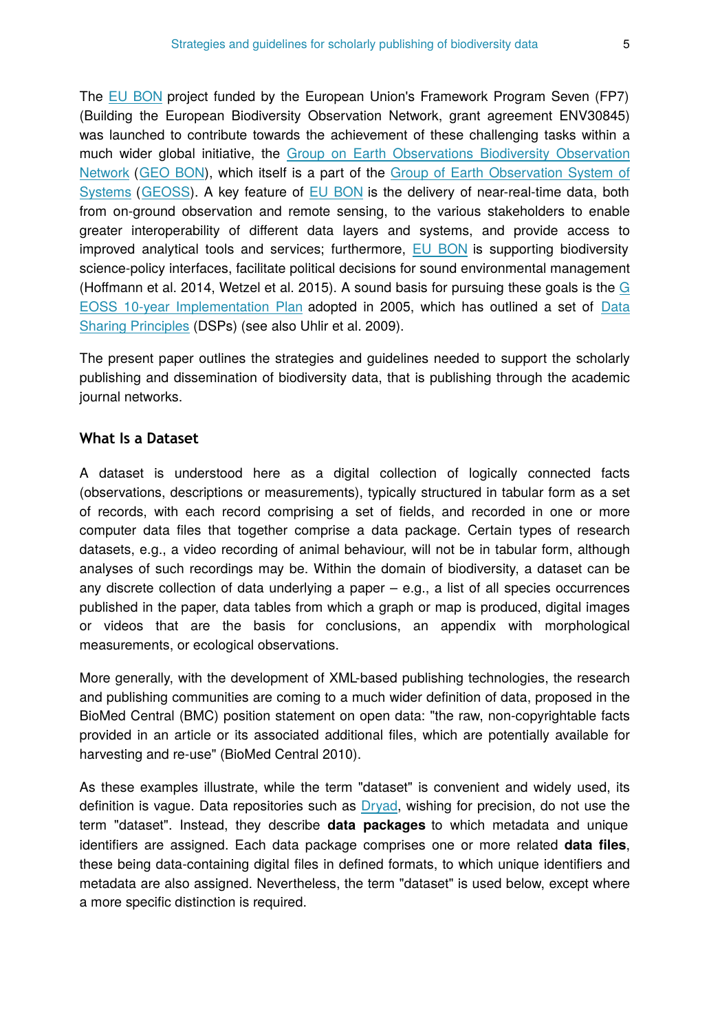The [EU BON](http://eubon.eu) project funded by the European Union's Framework Program Seven (FP7) (Building the European Biodiversity Observation Network, grant agreement ENV30845) was launched to contribute towards the achievement of these challenging tasks within a much wider global initiative, the [Group on Earth Observations Biodiversity Observation](http://geobon.org) [Network](http://geobon.org) ([GEO BON\)](http://geobon.org), which itself is a part of the [Group of Earth Observation System of](http://www.earthobservations.org/geoss.php) [Systems](http://www.earthobservations.org/geoss.php) ([GEOSS](http://www.earthobservations.org/geoss.php)). A key feature of [EU BON](http://eubon.eu) is the delivery of near-real-time data, both from on-ground observation and remote sensing, to the various stakeholders to enable greater interoperability of different data layers and systems, and provide access to improved analytical tools and services; furthermore, [EU BON](http://EU%20BON) is supporting biodiversity science-policy interfaces, facilitate political decisions for sound environmental management (Hoffmann et al. 2014, Wetzel et al. 2015). A sound basis for pursuing these goals is the  $G$ [EOSS 10-year Implementation Plan](http://www.earthobservations.org/documents/10-Year%20Implementation%20Plan.pdf) adopted in 2005, which has outlined a set of [Data](http://www.earthobservations.org/geoss_dsp.shtml) [Sharing Principles](http://www.earthobservations.org/geoss_dsp.shtml) (DSPs) (see also Uhlir et al. 2009).

The present paper outlines the strategies and guidelines needed to support the scholarly publishing and dissemination of biodiversity data, that is publishing through the academic journal networks.

#### **What Is a Dataset**

A dataset is understood here as a digital collection of logically connected facts (observations, descriptions or measurements), typically structured in tabular form as a set of records, with each record comprising a set of fields, and recorded in one or more computer data files that together comprise a data package. Certain types of research datasets, e.g., a video recording of animal behaviour, will not be in tabular form, although analyses of such recordings may be. Within the domain of biodiversity, a dataset can be any discrete collection of data underlying a paper – e.g., a list of all species occurrences published in the paper, data tables from which a graph or map is produced, digital images or videos that are the basis for conclusions, an appendix with morphological measurements, or ecological observations.

More generally, with the development of XML-based publishing technologies, the research and publishing communities are coming to a much wider definition of data, proposed in the BioMed Central (BMC) position statement on open data: "the raw, non-copyrightable facts provided in an article or its associated additional files, which are potentially available for harvesting and re-use" (BioMed Central 2010).

As these examples illustrate, while the term "dataset" is convenient and widely used, its definition is vague. Data repositories such as [Dryad](http://datadryad.org), wishing for precision, do not use the term "dataset". Instead, they describe **data packages** to which metadata and unique identifiers are assigned. Each data package comprises one or more related **data files**, these being data-containing digital files in defined formats, to which unique identifiers and metadata are also assigned. Nevertheless, the term "dataset" is used below, except where a more specific distinction is required.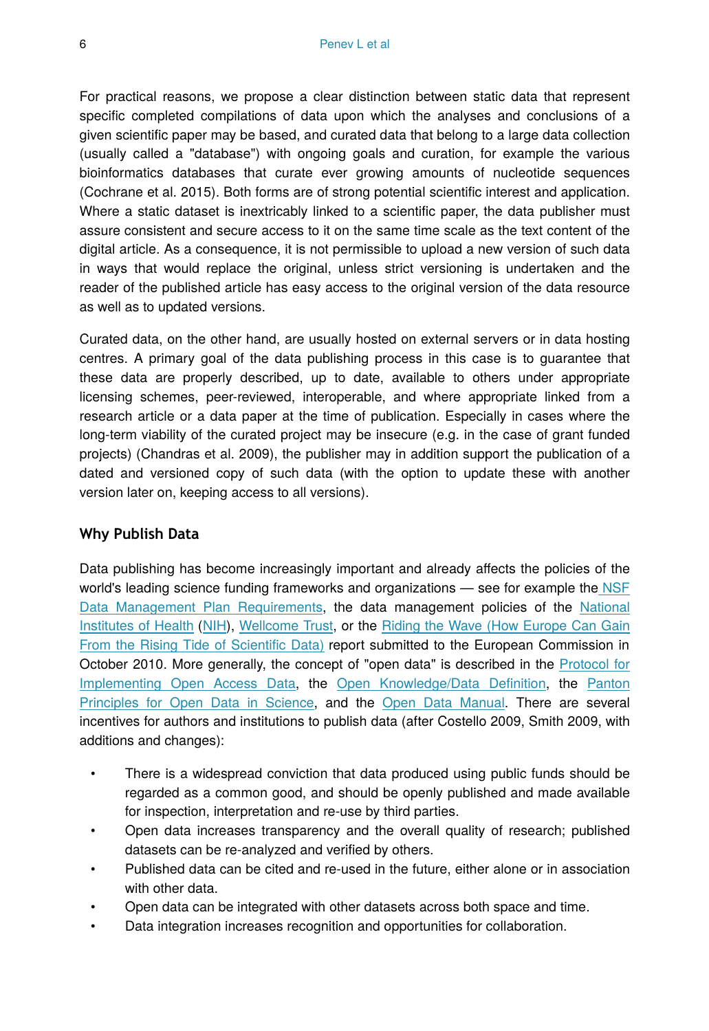For practical reasons, we propose a clear distinction between static data that represent specific completed compilations of data upon which the analyses and conclusions of a given scientific paper may be based, and curated data that belong to a large data collection (usually called a "database") with ongoing goals and curation, for example the various bioinformatics databases that curate ever growing amounts of nucleotide sequences (Cochrane et al. 2015). Both forms are of strong potential scientific interest and application. Where a static dataset is inextricably linked to a scientific paper, the data publisher must assure consistent and secure access to it on the same time scale as the text content of the digital article. As a consequence, it is not permissible to upload a new version of such data in ways that would replace the original, unless strict versioning is undertaken and the reader of the published article has easy access to the original version of the data resource as well as to updated versions.

Curated data, on the other hand, are usually hosted on external servers or in data hosting centres. A primary goal of the data publishing process in this case is to guarantee that these data are properly described, up to date, available to others under appropriate licensing schemes, peer-reviewed, interoperable, and where appropriate linked from a research article or a data paper at the time of publication. Especially in cases where the long-term viability of the curated project may be insecure (e.g. in the case of grant funded projects) (Chandras et al. 2009), the publisher may in addition support the publication of a dated and versioned copy of such data (with the option to update these with another version later on, keeping access to all versions).

#### **Why Publish Data**

Data publishing has become increasingly important and already affects the policies of the world's leading science funding frameworks and organizations — see for example th[e NSF](http://www.nsf.gov/eng/general/dmp.jsp) [Data Management Plan Requirements,](http://www.nsf.gov/eng/general/dmp.jsp) the data management policies of the [National](https://grants.nih.gov/grants/policy/data_sharing/data_sharing_guidance.htm) [Institutes of Health](https://grants.nih.gov/grants/policy/data_sharing/data_sharing_guidance.htm) ([NIH](https://grants.nih.gov/grants/policy/data_sharing/data_sharing_guidance.htm)), [Wellcome Trust,](https://wellcome.ac.uk/funding/managing-grant/policy-data-management-and-sharing) or the [Riding the Wave \(How Europe Can Gain](http://ec.europa.eu/information_society/newsroom/cf/document.cfm?action=display&doc_id=707) [From the Rising Tide of Scienti](http://ec.europa.eu/information_society/newsroom/cf/document.cfm?action=display&doc_id=707)fic Data) report submitted to the European Commission in October 2010. More generally, the concept of "open data" is described in the [Protocol for](http://sciencecommons.org/projects/publishing/open-access-data-protocol/) [Implementing Open Access Data,](http://sciencecommons.org/projects/publishing/open-access-data-protocol/) the [Open Knowledge/Data De](http://www.opendefinition.org/)finition, the [Panton](http://pantonprinciples.org/) [Principles for Open Data in Science](http://pantonprinciples.org/), and the [Open Data Manual.](http://opendatamanual.org/) There are several incentives for authors and institutions to publish data (after Costello 2009, Smith 2009, with additions and changes):

- There is a widespread conviction that data produced using public funds should be regarded as a common good, and should be openly published and made available for inspection, interpretation and re-use by third parties.
- Open data increases transparency and the overall quality of research; published datasets can be re-analyzed and verified by others.
- Published data can be cited and re-used in the future, either alone or in association with other data.
- Open data can be integrated with other datasets across both space and time.
- Data integration increases recognition and opportunities for collaboration.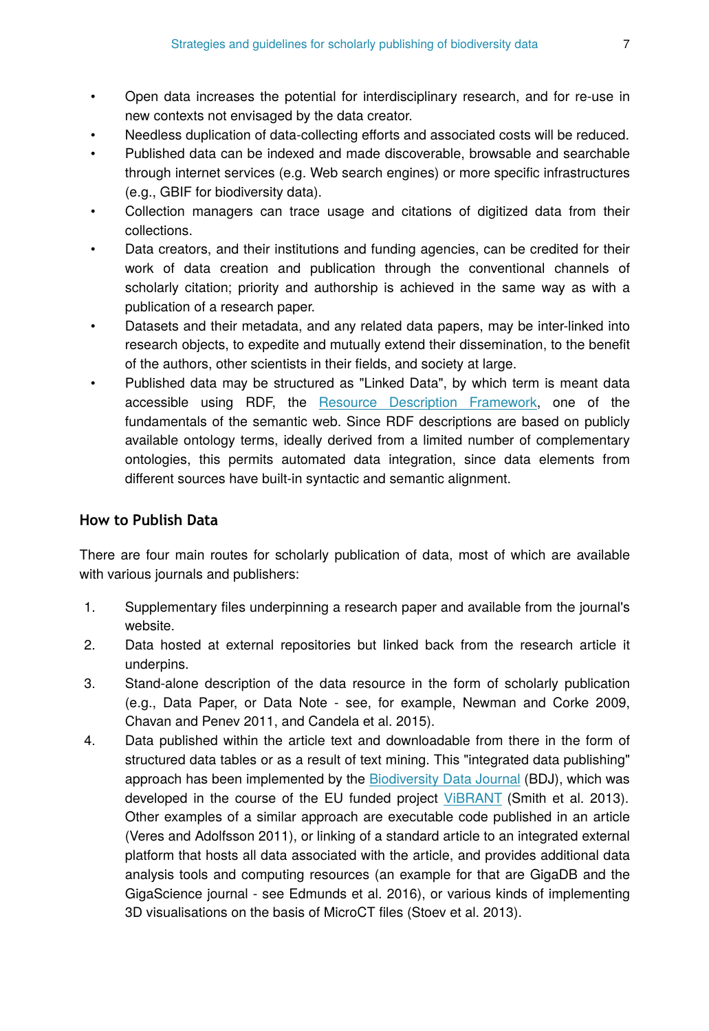- Open data increases the potential for interdisciplinary research, and for re-use in new contexts not envisaged by the data creator.
- Needless duplication of data-collecting efforts and associated costs will be reduced.
- Published data can be indexed and made discoverable, browsable and searchable through internet services (e.g. Web search engines) or more specific infrastructures (e.g., GBIF for biodiversity data).
- Collection managers can trace usage and citations of digitized data from their collections.
- Data creators, and their institutions and funding agencies, can be credited for their work of data creation and publication through the conventional channels of scholarly citation; priority and authorship is achieved in the same way as with a publication of a research paper.
- Datasets and their metadata, and any related data papers, may be inter-linked into research objects, to expedite and mutually extend their dissemination, to the benefit of the authors, other scientists in their fields, and society at large.
- Published data may be structured as "Linked Data", by which term is meant data accessible using RDF, the [Resource Description Framework,](https://www.w3.org/RDF/Interest/) one of the fundamentals of the semantic web. Since RDF descriptions are based on publicly available ontology terms, ideally derived from a limited number of complementary ontologies, this permits automated data integration, since data elements from different sources have built-in syntactic and semantic alignment.

#### **How to Publish Data**

There are four main routes for scholarly publication of data, most of which are available with various journals and publishers:

- 1. Supplementary files underpinning a research paper and available from the journal's website.
- 2. Data hosted at external repositories but linked back from the research article it underpins.
- 3. Stand-alone description of the data resource in the form of scholarly publication (e.g., Data Paper, or Data Note - see, for example, Newman and Corke 2009, Chavan and Penev 2011, and Candela et al. 2015).
- 4. Data published within the article text and downloadable from there in the form of structured data tables or as a result of text mining. This "integrated data publishing" approach has been implemented by the [Biodiversity Data Journal](http://bdj.pensoft.net/) (BDJ), which was developed in the course of the EU funded project VIBRANT (Smith et al. 2013). Other examples of a similar approach are executable code published in an article (Veres and Adolfsson 2011), or linking of a standard article to an integrated external platform that hosts all data associated with the article, and provides additional data analysis tools and computing resources (an example for that are GigaDB and the GigaScience journal - see Edmunds et al. 2016), or various kinds of implementing 3D visualisations on the basis of MicroCT files (Stoev et al. 2013).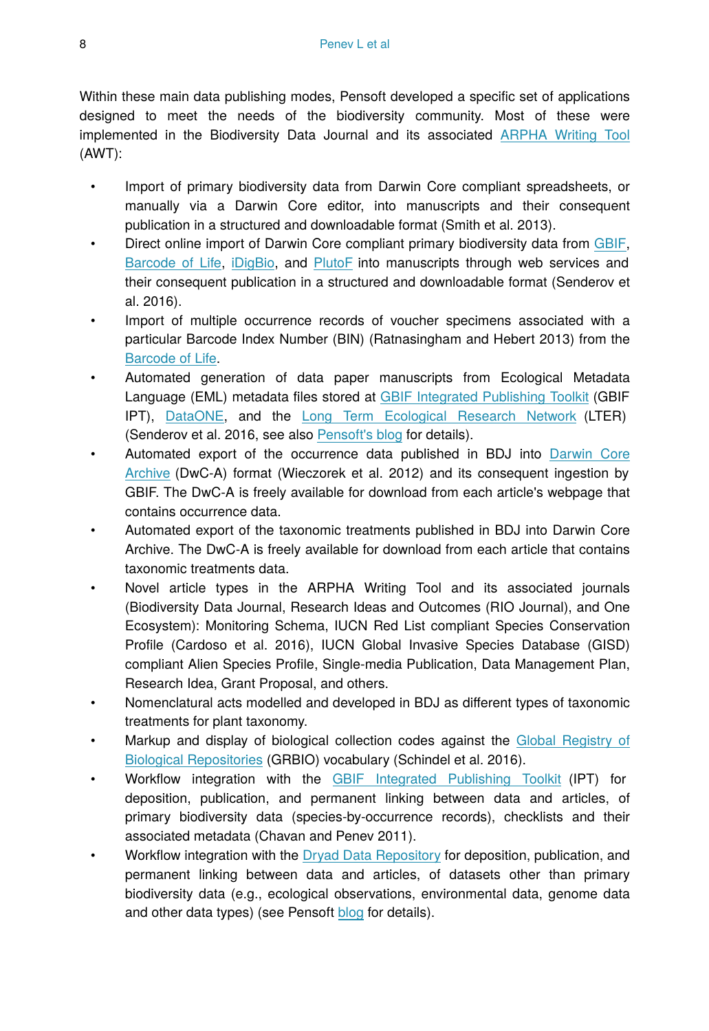Within these main data publishing modes, Pensoft developed a specific set of applications designed to meet the needs of the biodiversity community. Most of these were implemented in the Biodiversity Data Journal and its associated [ARPHA Writing Tool](http://arpha.pensoft.net/) (AWT):

- Import of primary biodiversity data from Darwin Core compliant spreadsheets, or manually via a Darwin Core editor, into manuscripts and their consequent publication in a structured and downloadable format (Smith et al. 2013).
- Direct online import of Darwin Core compliant primary biodiversity data from [GBIF,](http://gbif.org/) [Barcode of Life,](http://boldsystems.org/) [iDigBio](http://idigbio.org/), and [PlutoF](http://plutof.ut.ee/) into manuscripts through web services and their consequent publication in a structured and downloadable format (Senderov et al. 2016).
- Import of multiple occurrence records of voucher specimens associated with a particular Barcode Index Number (BIN) (Ratnasingham and Hebert 2013) from the [Barcode of Life.](http://boldsystems.org/)
- Automated generation of data paper manuscripts from Ecological Metadata Language (EML) metadata files stored at [GBIF Integrated Publishing Toolkit](http://www.gbif.org/ipt/) (GBIF IPT), [DataONE,](http://dataone.org/) and the [Long Term Ecological Research Network](https://www.lternet.edu/) (LTER) (Senderov et al. 2016, see also [Pensoft's blog](http://blog.pensoft.net/2016/05/18/how-to-import-data-papers-from-gbif-data-one-and-lter-metadata/) for details).
- Automated export of the occurrence data published in BDJ into [Darwin Core](http://rs.tdwg.org/dwc/terms/guides/text/index.htm) [Archive](http://rs.tdwg.org/dwc/terms/guides/text/index.htm) (DwC-A) format (Wieczorek et al. 2012) and its consequent ingestion by GBIF. The DwC-A is freely available for download from each article's webpage that contains occurrence data.
- Automated export of the taxonomic treatments published in BDJ into Darwin Core Archive. The DwC-A is freely available for download from each article that contains taxonomic treatments data.
- Novel article types in the ARPHA Writing Tool and its associated journals (Biodiversity Data Journal, Research Ideas and Outcomes (RIO Journal), and One Ecosystem): Monitoring Schema, IUCN Red List compliant Species Conservation Profile (Cardoso et al. 2016), IUCN Global Invasive Species Database (GISD) compliant Alien Species Profile, Single-media Publication, Data Management Plan, Research Idea, Grant Proposal, and others.
- Nomenclatural acts modelled and developed in BDJ as different types of taxonomic treatments for plant taxonomy.
- Markup and display of biological collection codes against the [Global Registry of](http://grbio.org/) [Biological Repositories](http://grbio.org/) (GRBIO) vocabulary (Schindel et al. 2016).
- Workflow integration with the [GBIF Integrated Publishing Toolkit](http://www.gbif.org/ipt/) (IPT) for deposition, publication, and permanent linking between data and articles, of primary biodiversity data (species-by-occurrence records), checklists and their associated metadata (Chavan and Penev 2011).
- Workflow integration with the [Dryad Data Repository](http://datadryad.org/) for deposition, publication, and permanent linking between data and articles, of datasets other than primary biodiversity data (e.g., ecological observations, environmental data, genome data and other data types) (see Pensoft [blog](http://blog.pensoft.net/2011/10/13/data-publishing-in-pensoft-journals-integrated-with-the-dryad-data-repository/) for details).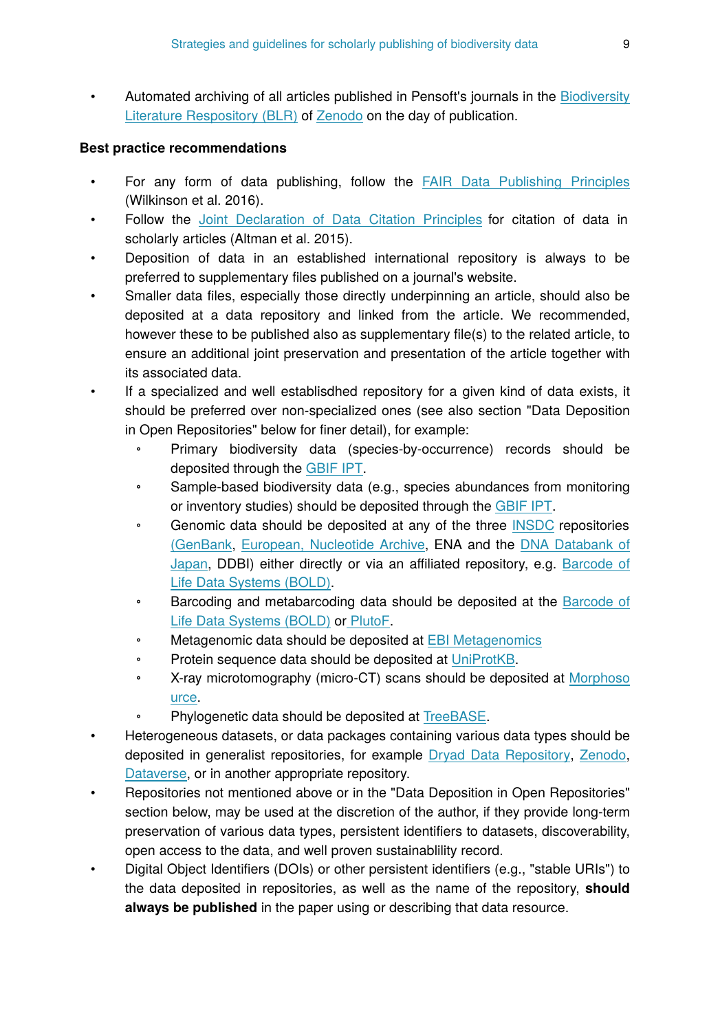• Automated archiving of all articles published in Pensoft's journals in the [Biodiversity](http://biolitrepo.org/) [Literature Respository \(BLR\)](http://biolitrepo.org/) of [Z](http://zenodo.org/)[enodo](http://zenodo.org) on the day of publication.

#### **Best practice recommendations**

- For any form of data publishing, follow the [FAIR Data Publishing Principles](https://www.force11.org/group/fairgroup) (Wilkinson et al. 2016).
- Follow the [Joint Declaration of Data Citation Principles](http://www.force11.org/datacitation) for citation of data in scholarly articles (Altman et al. 2015).
- Deposition of data in an established international repository is always to be preferred to supplementary files published on a journal's website.
- Smaller data files, especially those directly underpinning an article, should also be deposited at a data repository and linked from the article. We recommended, however these to be published also as supplementary file(s) to the related article, to ensure an additional joint preservation and presentation of the article together with its associated data.
- If a specialized and well establisdhed repository for a given kind of data exists, it should be preferred over non-specialized ones (see also section "Data Deposition in Open Repositories" below for finer detail), for example:
	- Primary biodiversity data (species-by-occurrence) records should be deposited through the [GBIF IPT](http://www.gbif.org/ipt/).
	- Sample-based biodiversity data (e.g., species abundances from monitoring or inventory studies) should be deposited through the [GBIF IPT](http://www.gbif.org/ipt/).
	- Genomic data should be deposited at any of the three [INSDC](http://www.insdc.org/) repositories [\(GenBank,](http://www.ncbi.nlm.nih.gov/genbank/) [European, Nucleotide Archive](http://www.ebi.ac.uk/ena/), ENA and the [DNA Databank of](http://www.ddbj.nig.ac.jp/) [Japan,](http://www.ddbj.nig.ac.jp/) DDBI) either directly or via an affiliated repository, e.g. [Barcode of](http://www.boldsystems.org/views/login.php) [Life Data Systems \(BOLD\)](http://www.boldsystems.org/views/login.php).
	- Barcoding and metabarcoding data should be deposited at the [Barcode of](http://www.boldsystems.org/views/login.php) [Life Data Systems \(BOLD\)](http://www.boldsystems.org/views/login.php) or [PlutoF.](https://plutof.ut.ee/)
	- Metagenomic data should be deposited at [EBI Metagenomics](http://www.ebi.ac.uk/metagenomics)
	- Protein sequence data should be deposited at [UniProtKB.](http://www.uniprot.org/)
	- X-ray microtomography (micro-CT) scans should be deposited at [Morphoso](http://morphosource.org/) [urce.](http://morphosource.org/)
	- Phylogenetic data should be deposited at [TreeBASE.](http://www.treebase.org)
- Heterogeneous datasets, or data packages containing various data types should be deposited in generalist repositories, for example [Dryad Data Repository](http://datadryad.org), [Zenodo,](http://zenodo.org) [Dataverse](http://dataverse.org), or in another appropriate repository.
- Repositories not mentioned above or in the "Data Deposition in Open Repositories" section below, may be used at the discretion of the author, if they provide long-term preservation of various data types, persistent identifiers to datasets, discoverability, open access to the data, and well proven sustainablility record.
- Digital Object Identifiers (DOIs) or other persistent identifiers (e.g., "stable URIs") to the data deposited in repositories, as well as the name of the repository, **should always be published** in the paper using or describing that data resource.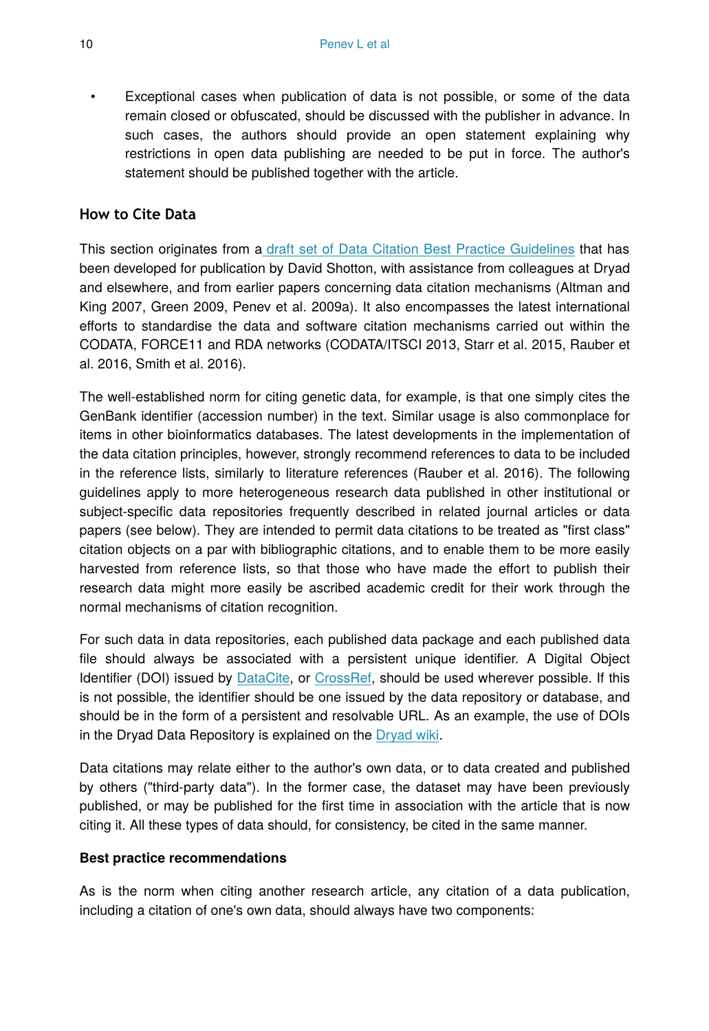• Exceptional cases when publication of data is not possible, or some of the data remain closed or obfuscated, should be discussed with the publisher in advance. In such cases, the authors should provide an open statement explaining why restrictions in open data publishing are needed to be put in force. The author's statement should be published together with the article.

#### **How to Cite Data**

This section originates from a [draft set of Data Citation Best Practice Guidelines](http://bit.ly/lE2E21) that has been developed for publication by David Shotton, with assistance from colleagues at Dryad and elsewhere, and from earlier papers concerning data citation mechanisms (Altman and King 2007, Green 2009, Penev et al. 2009a). It also encompasses the latest international efforts to standardise the data and software citation mechanisms carried out within the CODATA, FORCE11 and RDA networks (CODATA/ITSCI 2013, Starr et al. 2015, Rauber et al. 2016, Smith et al. 2016).

The well-established norm for citing genetic data, for example, is that one simply cites the GenBank identifier (accession number) in the text. Similar usage is also commonplace for items in other bioinformatics databases. The latest developments in the implementation of the data citation principles, however, strongly recommend references to data to be included in the reference lists, similarly to literature references (Rauber et al. 2016). The following guidelines apply to more heterogeneous research data published in other institutional or subject-specific data repositories frequently described in related journal articles or data papers (see below). They are intended to permit data citations to be treated as "first class" citation objects on a par with bibliographic citations, and to enable them to be more easily harvested from reference lists, so that those who have made the effort to publish their research data might more easily be ascribed academic credit for their work through the normal mechanisms of citation recognition.

For such data in data repositories, each published data package and each published data file should always be associated with a persistent unique identifier. A Digital Object Identifier (DOI) issued by [DataCite](http://www.datacite.org/), or [CrossRef,](http://crossref.org/) should be used wherever possible. If this is not possible, the identifier should be one issued by the data repository or database, and should be in the form of a persistent and resolvable URL. As an example, the use of DOIs in the Dryad Data Repository is explained on the [Dryad wiki](http://wiki.datadryad.org/DOI_Usage).

Data citations may relate either to the author's own data, or to data created and published by others ("third-party data"). In the former case, the dataset may have been previously published, or may be published for the first time in association with the article that is now citing it. All these types of data should, for consistency, be cited in the same manner.

#### **Best practice recommendations**

As is the norm when citing another research article, any citation of a data publication, including a citation of one's own data, should always have two components: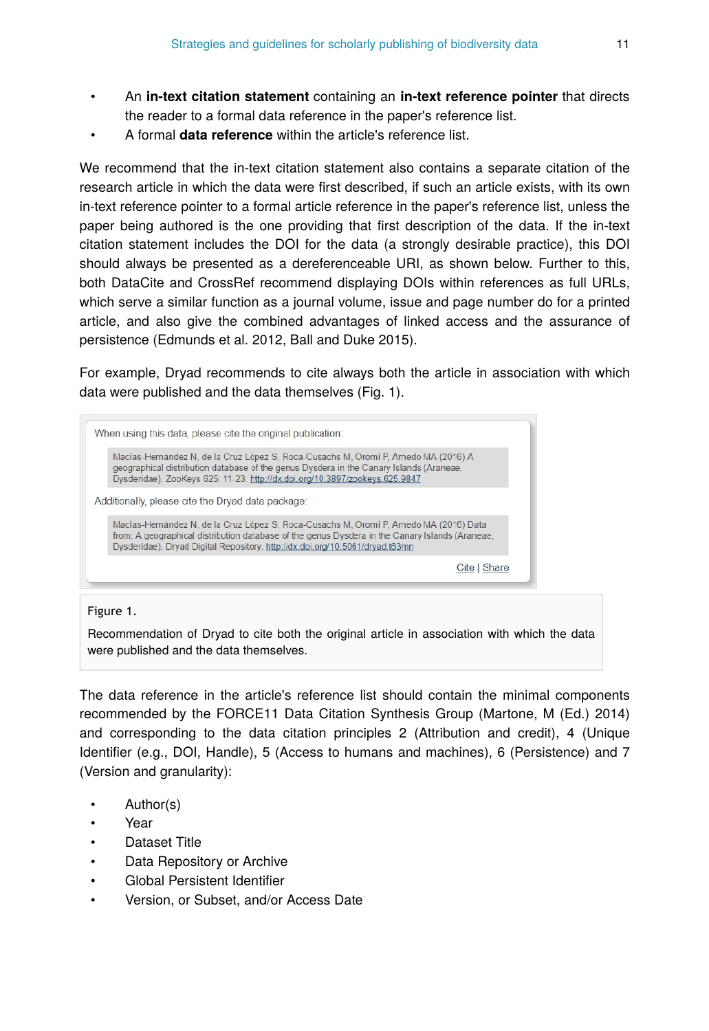- An **in-text citation statement** containing an **in-text reference pointer** that directs the reader to a formal data reference in the paper's reference list.
- A formal **data reference** within the article's reference list.

We recommend that the in-text citation statement also contains a separate citation of the research article in which the data were first described, if such an article exists, with its own in-text reference pointer to a formal article reference in the paper's reference list, unless the paper being authored is the one providing that first description of the data. If the in-text citation statement includes the DOI for the data (a strongly desirable practice), this DOI should always be presented as a dereferenceable URI, as shown below. Further to this, both DataCite and CrossRef recommend displaying DOIs within references as full URLs, which serve a similar function as a journal volume, issue and page number do for a printed article, and also give the combined advantages of linked access and the assurance of persistence (Edmunds et al. 2012, Ball and Duke 2015).

For example, Dryad recommends to cite always both the article in association with which data were published and the data themselves (Fig. 1).

| Macías-Hernández N, de la Cruz López S, Roca-Cusachs M, Oromí P. Arnedo MA (2016) A<br>geographical distribution database of the genus Dysdera in the Canary Islands (Araneae,<br>Dysderidae). ZooKeys 625: 11-23. http://dx.doi.org/10.3897/zookeys.625.9847             |              |
|---------------------------------------------------------------------------------------------------------------------------------------------------------------------------------------------------------------------------------------------------------------------------|--------------|
| Additionally, please cite the Dryad data package:                                                                                                                                                                                                                         |              |
| Macías-Hernández N, de la Cruz López S, Roca-Cusachs M, Oromí P, Arnedo MA (2016) Data<br>from: A geographical distribution database of the genus Dysdera in the Canary Islands (Araneae,<br>Dysderidae). Dryad Digital Repository. http://dx.doi.org/10.5061/dryad.t63mn |              |
|                                                                                                                                                                                                                                                                           | Cite   Share |

#### Figure 1.

Recommendation of Dryad to cite both the original article in association with which the data were published and the data themselves.

The data reference in the article's reference list should contain the minimal components recommended by the FORCE11 Data Citation Synthesis Group (Martone, M (Ed.) 2014) and corresponding to the data citation principles 2 (Attribution and credit), 4 (Unique Identifier (e.g., DOI, Handle), 5 (Access to humans and machines), 6 (Persistence) and 7 (Version and granularity):

- Author(s)
- Year
- Dataset Title
- Data Repository or Archive
- Global Persistent Identifier
- Version, or Subset, and/or Access Date